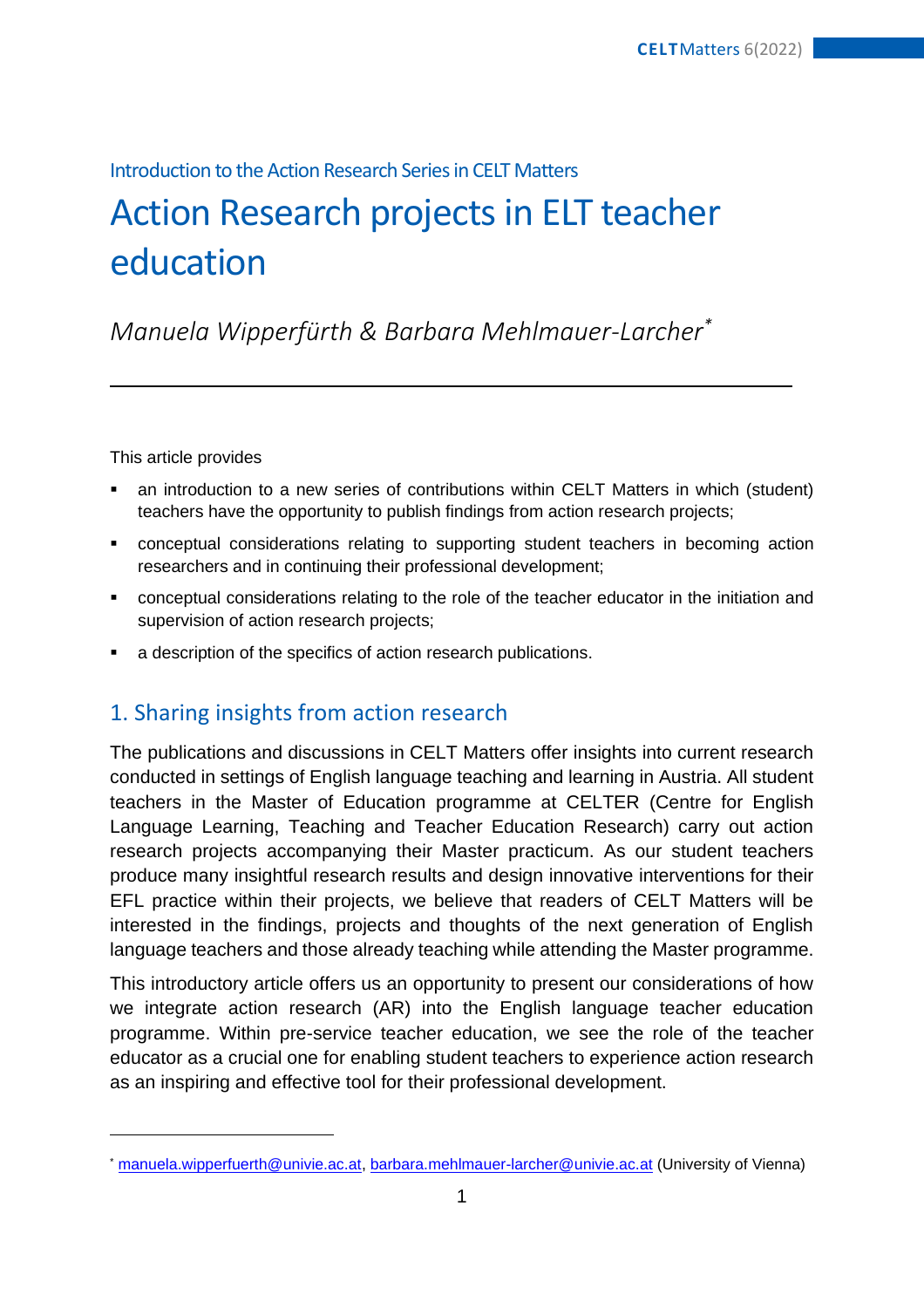### Introduction to the Action Research Series in CELT Matters

# Action Research projects in ELT teacher education

## *Manuela Wipperfürth & Barbara Mehlmauer-Larcher\**

This article provides

- an introduction to a new series of contributions within CELT Matters in which (student) teachers have the opportunity to publish findings from action research projects;
- conceptual considerations relating to supporting student teachers in becoming action researchers and in continuing their professional development;
- conceptual considerations relating to the role of the teacher educator in the initiation and supervision of action research projects;
- a description of the specifics of action research publications.

## 1. Sharing insights from action research

The publications and discussions in CELT Matters offer insights into current research conducted in settings of English language teaching and learning in Austria. All student teachers in the Master of Education programme at CELTER (Centre for English Language Learning, Teaching and Teacher Education Research) carry out action research projects accompanying their Master practicum. As our student teachers produce many insightful research results and design innovative interventions for their EFL practice within their projects, we believe that readers of CELT Matters will be interested in the findings, projects and thoughts of the next generation of English language teachers and those already teaching while attending the Master programme.

This introductory article offers us an opportunity to present our considerations of how we integrate action research (AR) into the English language teacher education programme. Within pre-service teacher education, we see the role of the teacher educator as a crucial one for enabling student teachers to experience action research as an inspiring and effective tool for their professional development.

<sup>\*</sup> [manuela.wipperfuerth@univie.ac.at,](mailto:manuela.wipperfuerth@univie.ac.at) [barbara.mehlmauer-larcher@univie.ac.at](mailto:barbara.mehlmauer-larcher@univie.ac.at) (University of Vienna)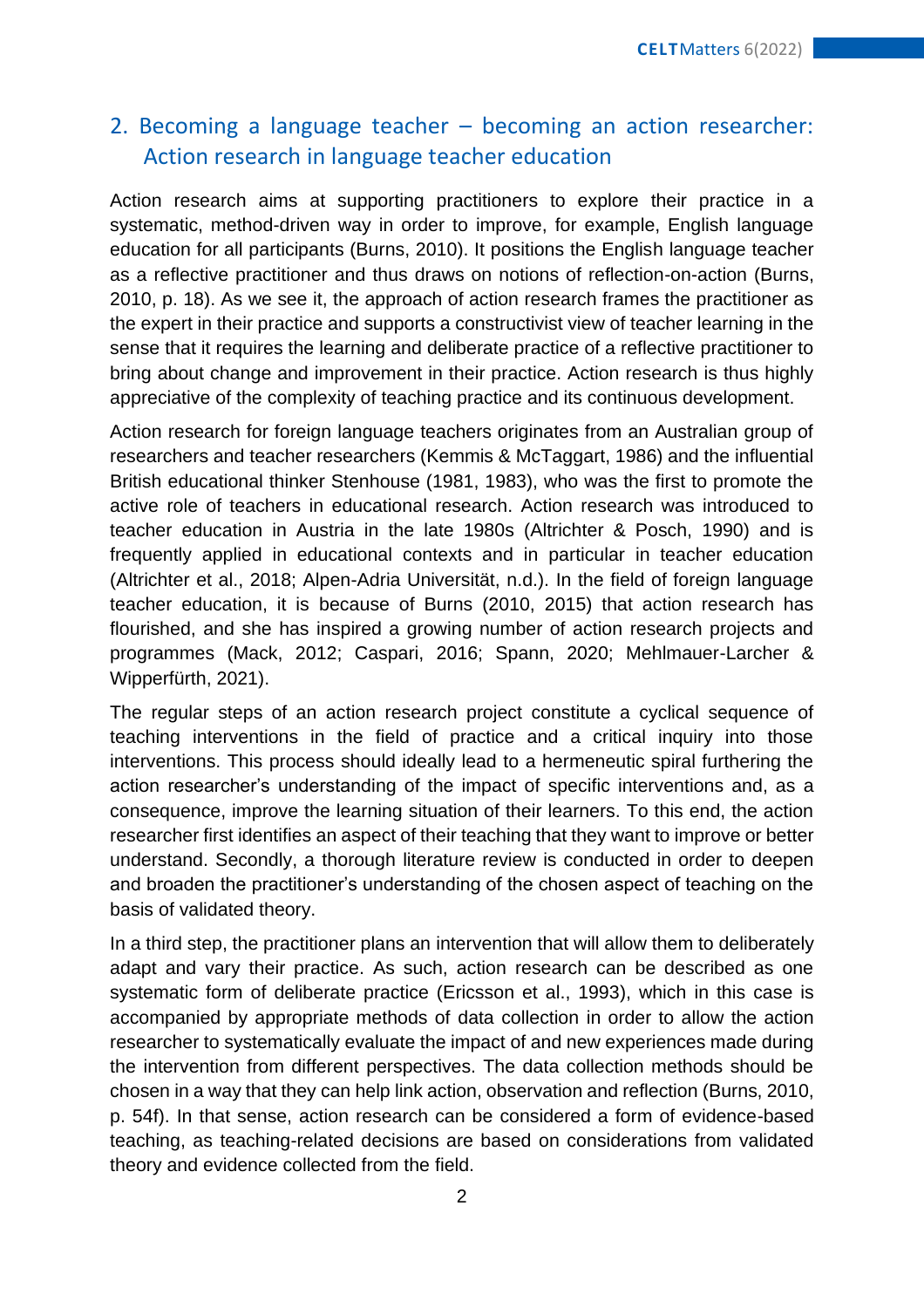## 2. Becoming a language teacher – becoming an action researcher: Action research in language teacher education

Action research aims at supporting practitioners to explore their practice in a systematic, method-driven way in order to improve, for example, English language education for all participants (Burns, 2010). It positions the English language teacher as a reflective practitioner and thus draws on notions of reflection-on-action (Burns, 2010, p. 18). As we see it, the approach of action research frames the practitioner as the expert in their practice and supports a constructivist view of teacher learning in the sense that it requires the learning and deliberate practice of a reflective practitioner to bring about change and improvement in their practice. Action research is thus highly appreciative of the complexity of teaching practice and its continuous development.

Action research for foreign language teachers originates from an Australian group of researchers and teacher researchers (Kemmis & McTaggart, 1986) and the influential British educational thinker Stenhouse (1981, 1983), who was the first to promote the active role of teachers in educational research. Action research was introduced to teacher education in Austria in the late 1980s (Altrichter & Posch, 1990) and is frequently applied in educational contexts and in particular in teacher education (Altrichter et al., 2018; Alpen-Adria Universität, n.d.). In the field of foreign language teacher education, it is because of Burns (2010, 2015) that action research has flourished, and she has inspired a growing number of action research projects and programmes (Mack, 2012; Caspari, 2016; Spann, 2020; Mehlmauer-Larcher & Wipperfürth, 2021).

The regular steps of an action research project constitute a cyclical sequence of teaching interventions in the field of practice and a critical inquiry into those interventions. This process should ideally lead to a hermeneutic spiral furthering the action researcher's understanding of the impact of specific interventions and, as a consequence, improve the learning situation of their learners. To this end, the action researcher first identifies an aspect of their teaching that they want to improve or better understand. Secondly, a thorough literature review is conducted in order to deepen and broaden the practitioner's understanding of the chosen aspect of teaching on the basis of validated theory.

In a third step, the practitioner plans an intervention that will allow them to deliberately adapt and vary their practice. As such, action research can be described as one systematic form of deliberate practice (Ericsson et al., 1993), which in this case is accompanied by appropriate methods of data collection in order to allow the action researcher to systematically evaluate the impact of and new experiences made during the intervention from different perspectives. The data collection methods should be chosen in a way that they can help link action, observation and reflection (Burns, 2010, p. 54f). In that sense, action research can be considered a form of evidence-based teaching, as teaching-related decisions are based on considerations from validated theory and evidence collected from the field.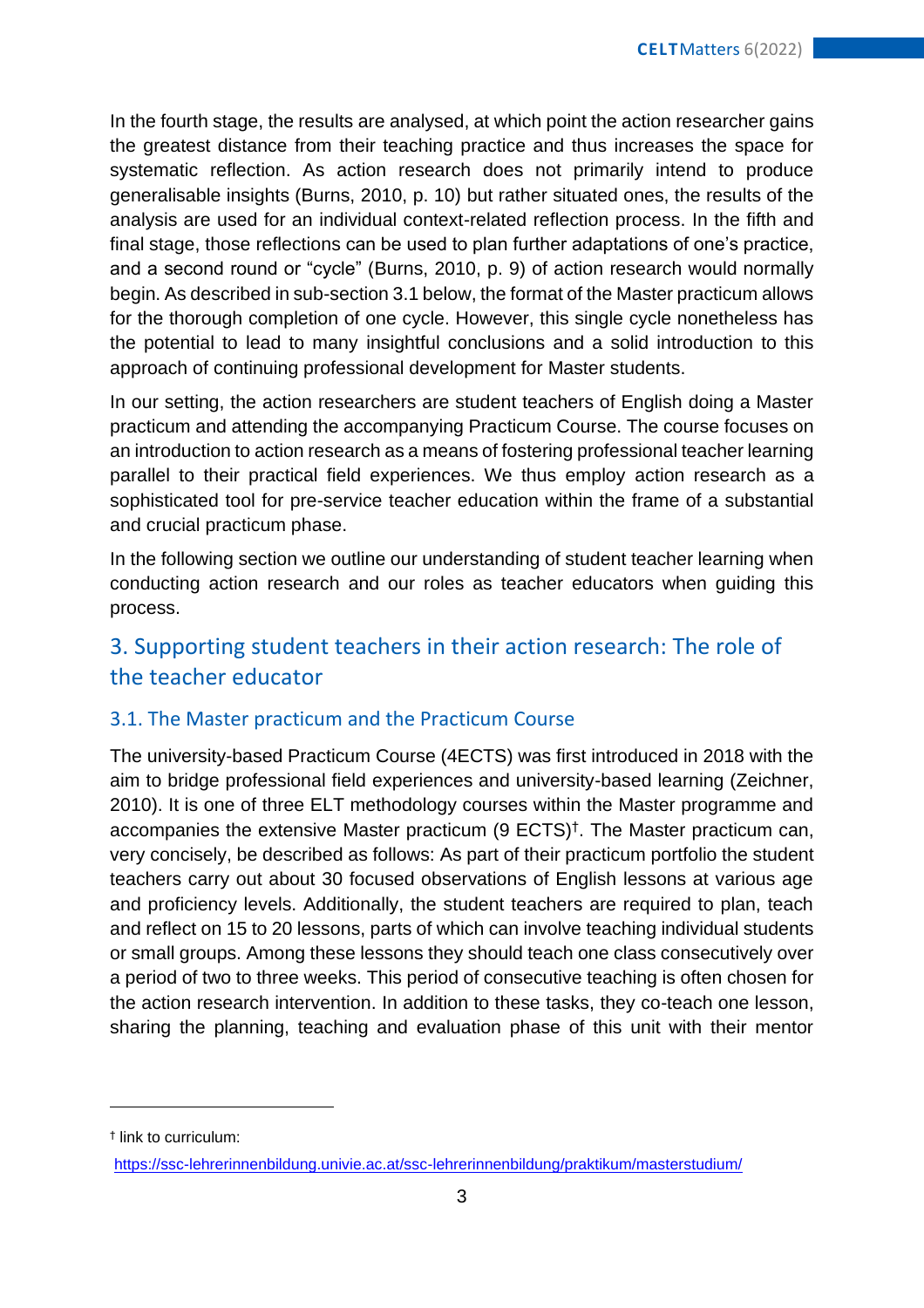In the fourth stage, the results are analysed, at which point the action researcher gains the greatest distance from their teaching practice and thus increases the space for systematic reflection. As action research does not primarily intend to produce generalisable insights (Burns, 2010, p. 10) but rather situated ones, the results of the analysis are used for an individual context-related reflection process. In the fifth and final stage, those reflections can be used to plan further adaptations of one's practice, and a second round or "cycle" (Burns, 2010, p. 9) of action research would normally begin. As described in sub-section 3.1 below, the format of the Master practicum allows for the thorough completion of one cycle. However, this single cycle nonetheless has the potential to lead to many insightful conclusions and a solid introduction to this approach of continuing professional development for Master students.

In our setting, the action researchers are student teachers of English doing a Master practicum and attending the accompanying Practicum Course. The course focuses on an introduction to action research as a means of fostering professional teacher learning parallel to their practical field experiences. We thus employ action research as a sophisticated tool for pre-service teacher education within the frame of a substantial and crucial practicum phase.

In the following section we outline our understanding of student teacher learning when conducting action research and our roles as teacher educators when guiding this process.

## 3. Supporting student teachers in their action research: The role of the teacher educator

#### 3.1. The Master practicum and the Practicum Course

The university-based Practicum Course (4ECTS) was first introduced in 2018 with the aim to bridge professional field experiences and university-based learning (Zeichner, 2010). It is one of three ELT methodology courses within the Master programme and accompanies the extensive Master practicum (9 ECTS)† . The Master practicum can, very concisely, be described as follows: As part of their practicum portfolio the student teachers carry out about 30 focused observations of English lessons at various age and proficiency levels. Additionally, the student teachers are required to plan, teach and reflect on 15 to 20 lessons, parts of which can involve teaching individual students or small groups. Among these lessons they should teach one class consecutively over a period of two to three weeks. This period of consecutive teaching is often chosen for the action research intervention. In addition to these tasks, they co-teach one lesson, sharing the planning, teaching and evaluation phase of this unit with their mentor

† link to curriculum:

<https://ssc-lehrerinnenbildung.univie.ac.at/ssc-lehrerinnenbildung/praktikum/masterstudium/>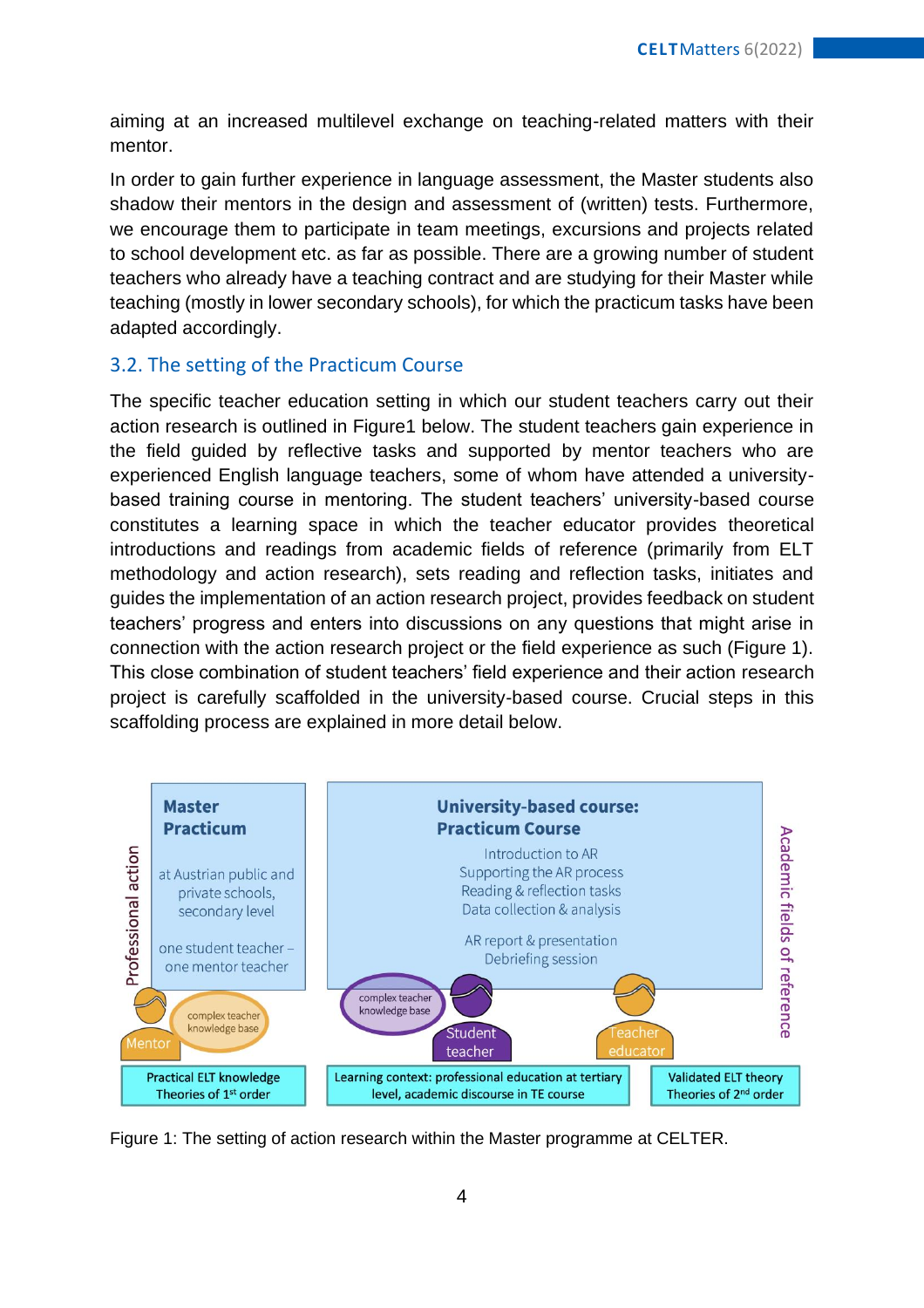aiming at an increased multilevel exchange on teaching-related matters with their mentor.

In order to gain further experience in language assessment, the Master students also shadow their mentors in the design and assessment of (written) tests. Furthermore, we encourage them to participate in team meetings, excursions and projects related to school development etc. as far as possible. There are a growing number of student teachers who already have a teaching contract and are studying for their Master while teaching (mostly in lower secondary schools), for which the practicum tasks have been adapted accordingly.

#### 3.2. The setting of the Practicum Course

The specific teacher education setting in which our student teachers carry out their action research is outlined in Figure1 below. The student teachers gain experience in the field guided by reflective tasks and supported by mentor teachers who are experienced English language teachers, some of whom have attended a universitybased training course in mentoring. The student teachers' university-based course constitutes a learning space in which the teacher educator provides theoretical introductions and readings from academic fields of reference (primarily from ELT methodology and action research), sets reading and reflection tasks, initiates and guides the implementation of an action research project, provides feedback on student teachers' progress and enters into discussions on any questions that might arise in connection with the action research project or the field experience as such (Figure 1). This close combination of student teachers' field experience and their action research project is carefully scaffolded in the university-based course. Crucial steps in this scaffolding process are explained in more detail below.



Figure 1: The setting of action research within the Master programme at CELTER.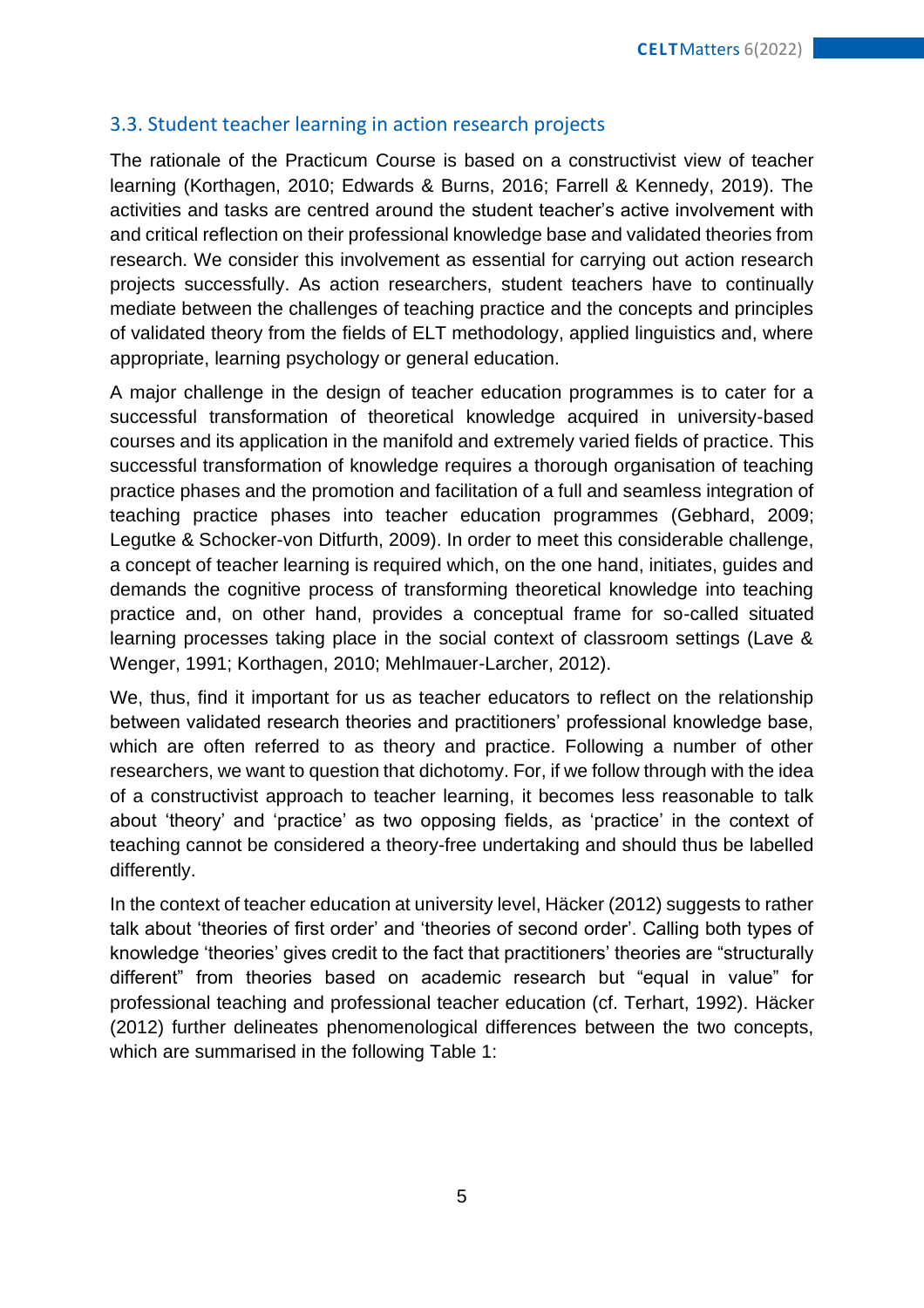#### 3.3. Student teacher learning in action research projects

The rationale of the Practicum Course is based on a constructivist view of teacher learning (Korthagen, 2010; Edwards & Burns, 2016; Farrell & Kennedy, 2019). The activities and tasks are centred around the student teacher's active involvement with and critical reflection on their professional knowledge base and validated theories from research. We consider this involvement as essential for carrying out action research projects successfully. As action researchers, student teachers have to continually mediate between the challenges of teaching practice and the concepts and principles of validated theory from the fields of ELT methodology, applied linguistics and, where appropriate, learning psychology or general education.

A major challenge in the design of teacher education programmes is to cater for a successful transformation of theoretical knowledge acquired in university-based courses and its application in the manifold and extremely varied fields of practice. This successful transformation of knowledge requires a thorough organisation of teaching practice phases and the promotion and facilitation of a full and seamless integration of teaching practice phases into teacher education programmes (Gebhard, 2009; Legutke & Schocker-von Ditfurth, 2009). In order to meet this considerable challenge, a concept of teacher learning is required which, on the one hand, initiates, guides and demands the cognitive process of transforming theoretical knowledge into teaching practice and, on other hand, provides a conceptual frame for so-called situated learning processes taking place in the social context of classroom settings (Lave & Wenger, 1991; Korthagen, 2010; Mehlmauer-Larcher, 2012).

We, thus, find it important for us as teacher educators to reflect on the relationship between validated research theories and practitioners' professional knowledge base, which are often referred to as theory and practice. Following a number of other researchers, we want to question that dichotomy. For, if we follow through with the idea of a constructivist approach to teacher learning, it becomes less reasonable to talk about 'theory' and 'practice' as two opposing fields, as 'practice' in the context of teaching cannot be considered a theory-free undertaking and should thus be labelled differently.

In the context of teacher education at university level, Häcker (2012) suggests to rather talk about 'theories of first order' and 'theories of second order'. Calling both types of knowledge 'theories' gives credit to the fact that practitioners' theories are "structurally different" from theories based on academic research but "equal in value" for professional teaching and professional teacher education (cf. Terhart, 1992). Häcker (2012) further delineates phenomenological differences between the two concepts, which are summarised in the following Table 1: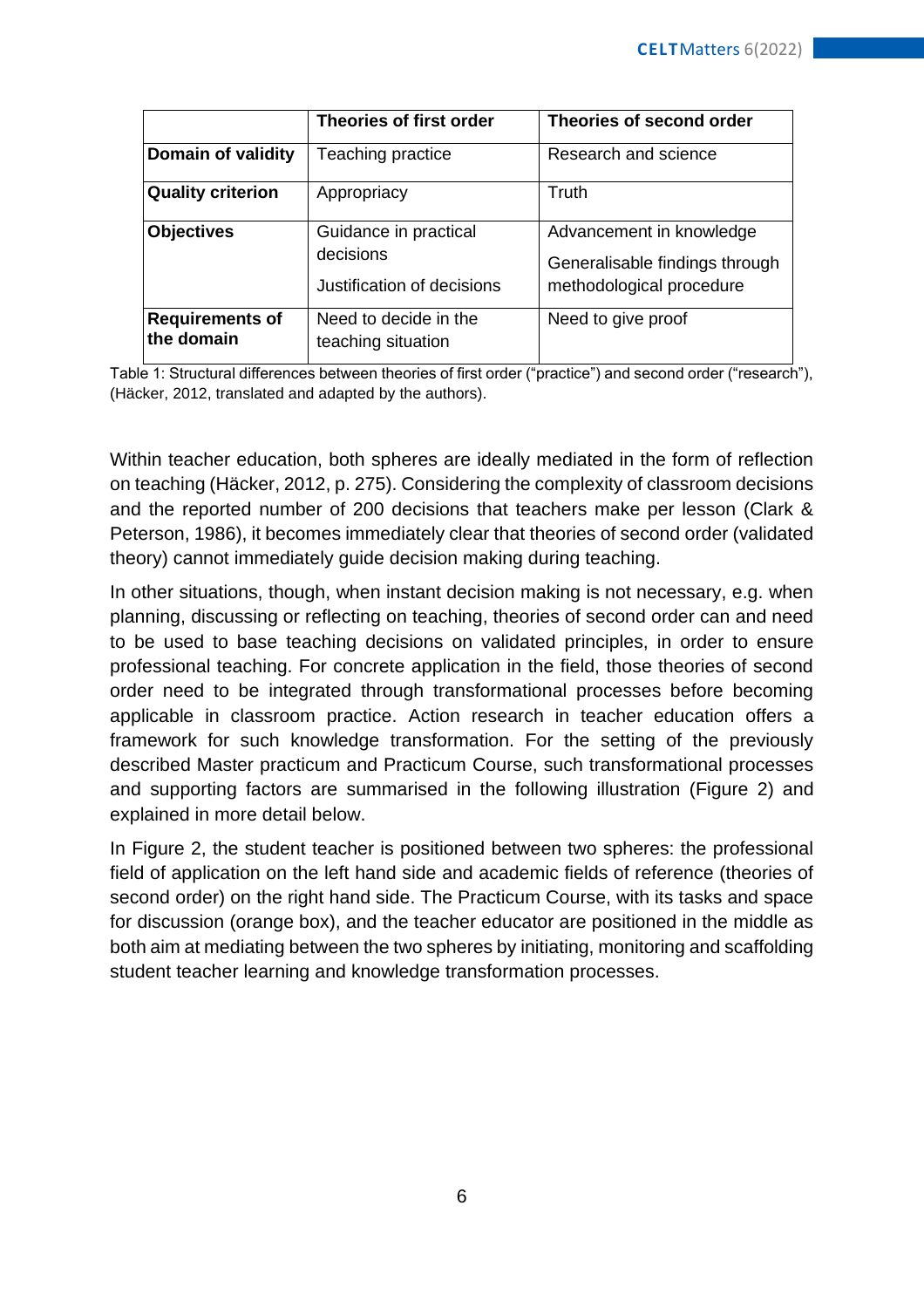|                                      | <b>Theories of first order</b>                                   | Theories of second order                                                               |
|--------------------------------------|------------------------------------------------------------------|----------------------------------------------------------------------------------------|
| Domain of validity                   | Teaching practice                                                | Research and science                                                                   |
| <b>Quality criterion</b>             | Appropriacy                                                      | <b>Truth</b>                                                                           |
| <b>Objectives</b>                    | Guidance in practical<br>decisions<br>Justification of decisions | Advancement in knowledge<br>Generalisable findings through<br>methodological procedure |
| <b>Requirements of</b><br>the domain | Need to decide in the<br>teaching situation                      | Need to give proof                                                                     |

Table 1: Structural differences between theories of first order ("practice") and second order ("research"), (Häcker, 2012, translated and adapted by the authors).

Within teacher education, both spheres are ideally mediated in the form of reflection on teaching (Häcker, 2012, p. 275). Considering the complexity of classroom decisions and the reported number of 200 decisions that teachers make per lesson (Clark & Peterson, 1986), it becomes immediately clear that theories of second order (validated theory) cannot immediately guide decision making during teaching.

In other situations, though, when instant decision making is not necessary, e.g. when planning, discussing or reflecting on teaching, theories of second order can and need to be used to base teaching decisions on validated principles, in order to ensure professional teaching. For concrete application in the field, those theories of second order need to be integrated through transformational processes before becoming applicable in classroom practice. Action research in teacher education offers a framework for such knowledge transformation. For the setting of the previously described Master practicum and Practicum Course, such transformational processes and supporting factors are summarised in the following illustration (Figure 2) and explained in more detail below.

In Figure 2, the student teacher is positioned between two spheres: the professional field of application on the left hand side and academic fields of reference (theories of second order) on the right hand side. The Practicum Course, with its tasks and space for discussion (orange box), and the teacher educator are positioned in the middle as both aim at mediating between the two spheres by initiating, monitoring and scaffolding student teacher learning and knowledge transformation processes.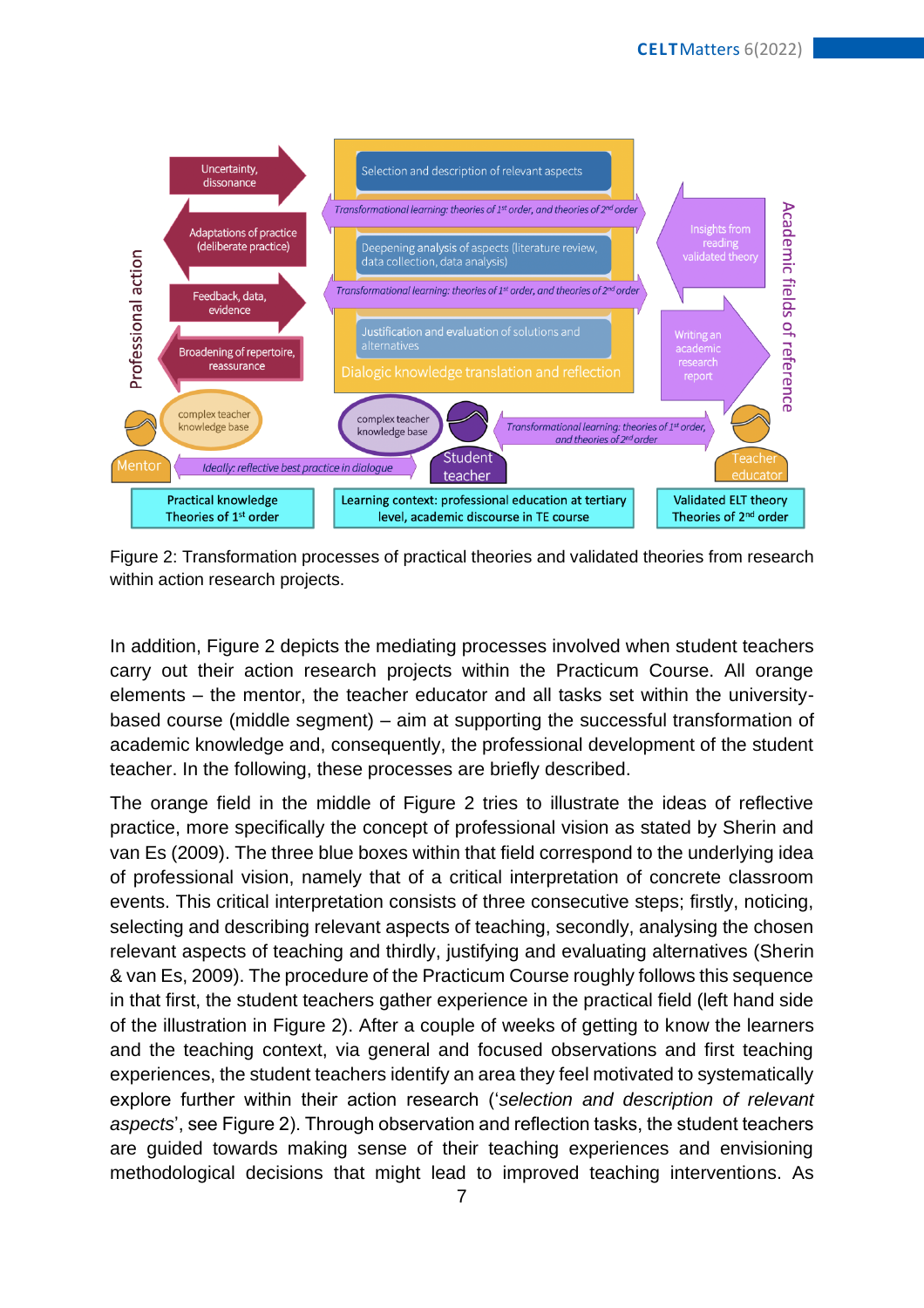

Figure 2: Transformation processes of practical theories and validated theories from research within action research projects.

In addition, Figure 2 depicts the mediating processes involved when student teachers carry out their action research projects within the Practicum Course. All orange elements – the mentor, the teacher educator and all tasks set within the universitybased course (middle segment) – aim at supporting the successful transformation of academic knowledge and, consequently, the professional development of the student teacher. In the following, these processes are briefly described.

The orange field in the middle of Figure 2 tries to illustrate the ideas of reflective practice, more specifically the concept of professional vision as stated by Sherin and van Es (2009). The three blue boxes within that field correspond to the underlying idea of professional vision, namely that of a critical interpretation of concrete classroom events. This critical interpretation consists of three consecutive steps; firstly, noticing, selecting and describing relevant aspects of teaching, secondly, analysing the chosen relevant aspects of teaching and thirdly, justifying and evaluating alternatives (Sherin & van Es, 2009). The procedure of the Practicum Course roughly follows this sequence in that first, the student teachers gather experience in the practical field (left hand side of the illustration in Figure 2). After a couple of weeks of getting to know the learners and the teaching context, via general and focused observations and first teaching experiences, the student teachers identify an area they feel motivated to systematically explore further within their action research ('*selection and description of relevant aspects*', see Figure 2). Through observation and reflection tasks, the student teachers are guided towards making sense of their teaching experiences and envisioning methodological decisions that might lead to improved teaching interventions. As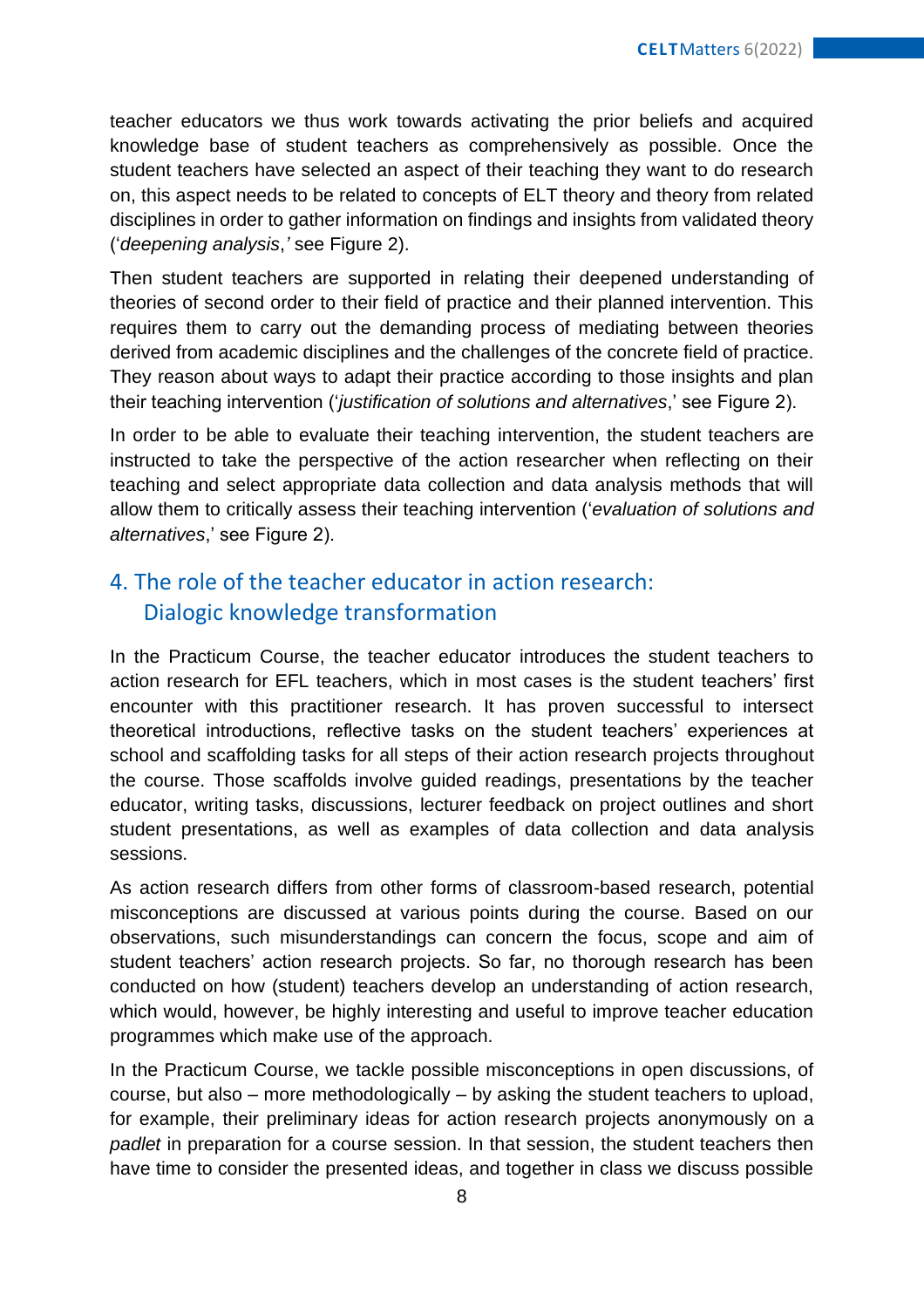teacher educators we thus work towards activating the prior beliefs and acquired knowledge base of student teachers as comprehensively as possible. Once the student teachers have selected an aspect of their teaching they want to do research on, this aspect needs to be related to concepts of ELT theory and theory from related disciplines in order to gather information on findings and insights from validated theory ('*deepening analysis*,*'* see Figure 2).

Then student teachers are supported in relating their deepened understanding of theories of second order to their field of practice and their planned intervention. This requires them to carry out the demanding process of mediating between theories derived from academic disciplines and the challenges of the concrete field of practice. They reason about ways to adapt their practice according to those insights and plan their teaching intervention ('*justification of solutions and alternatives*,' see Figure 2).

In order to be able to evaluate their teaching intervention, the student teachers are instructed to take the perspective of the action researcher when reflecting on their teaching and select appropriate data collection and data analysis methods that will allow them to critically assess their teaching intervention ('*evaluation of solutions and alternatives*,' see Figure 2).

## 4. The role of the teacher educator in action research: Dialogic knowledge transformation

In the Practicum Course, the teacher educator introduces the student teachers to action research for EFL teachers, which in most cases is the student teachers' first encounter with this practitioner research. It has proven successful to intersect theoretical introductions, reflective tasks on the student teachers' experiences at school and scaffolding tasks for all steps of their action research projects throughout the course. Those scaffolds involve guided readings, presentations by the teacher educator, writing tasks, discussions, lecturer feedback on project outlines and short student presentations, as well as examples of data collection and data analysis sessions.

As action research differs from other forms of classroom-based research, potential misconceptions are discussed at various points during the course. Based on our observations, such misunderstandings can concern the focus, scope and aim of student teachers' action research projects. So far, no thorough research has been conducted on how (student) teachers develop an understanding of action research, which would, however, be highly interesting and useful to improve teacher education programmes which make use of the approach.

In the Practicum Course, we tackle possible misconceptions in open discussions, of course, but also – more methodologically – by asking the student teachers to upload, for example, their preliminary ideas for action research projects anonymously on a *padlet* in preparation for a course session. In that session, the student teachers then have time to consider the presented ideas, and together in class we discuss possible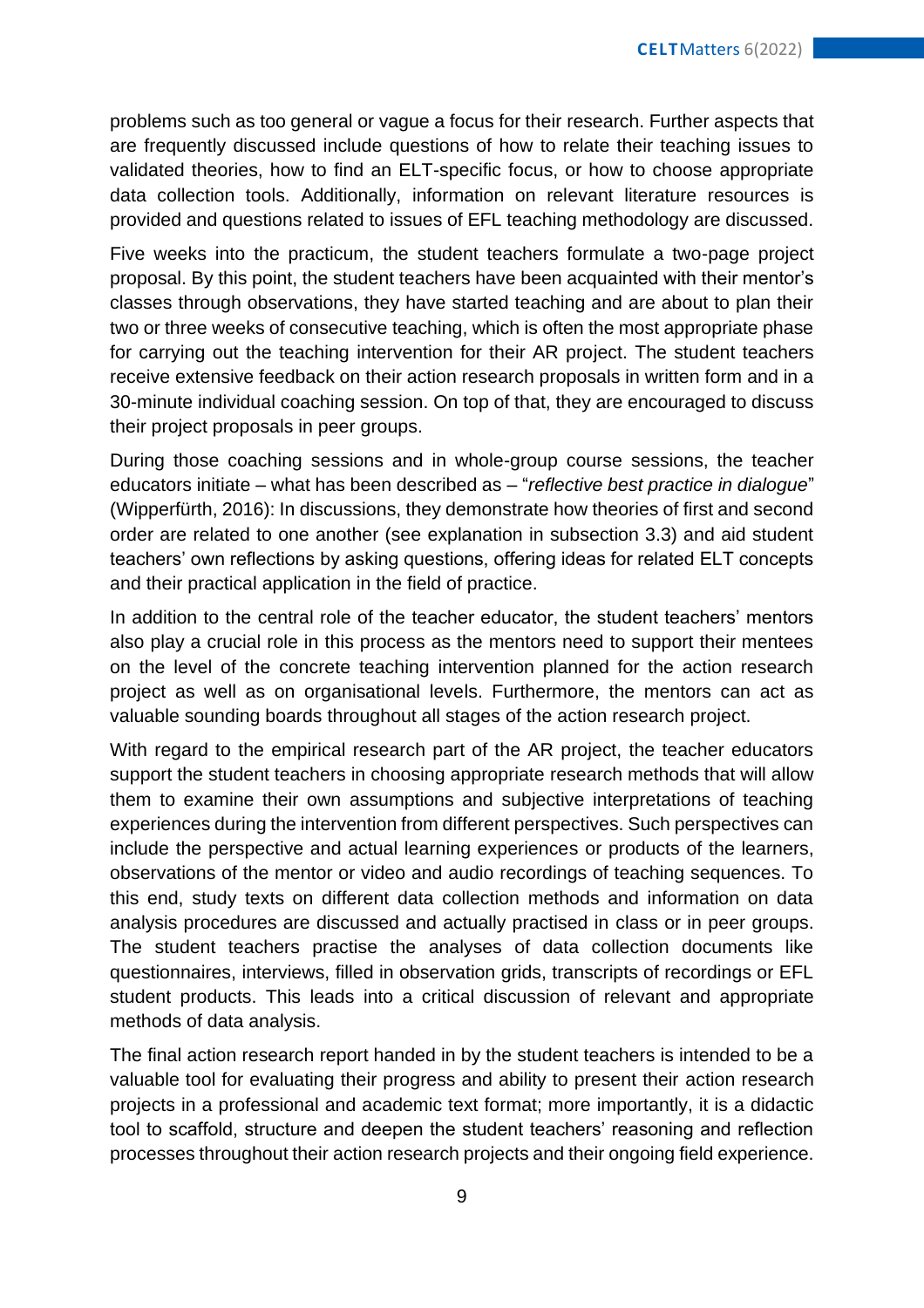problems such as too general or vague a focus for their research. Further aspects that are frequently discussed include questions of how to relate their teaching issues to validated theories, how to find an ELT-specific focus, or how to choose appropriate data collection tools. Additionally, information on relevant literature resources is provided and questions related to issues of EFL teaching methodology are discussed.

Five weeks into the practicum, the student teachers formulate a two-page project proposal. By this point, the student teachers have been acquainted with their mentor's classes through observations, they have started teaching and are about to plan their two or three weeks of consecutive teaching, which is often the most appropriate phase for carrying out the teaching intervention for their AR project. The student teachers receive extensive feedback on their action research proposals in written form and in a 30-minute individual coaching session. On top of that, they are encouraged to discuss their project proposals in peer groups.

During those coaching sessions and in whole-group course sessions, the teacher educators initiate – what has been described as – "*reflective best practice in dialogue*" (Wipperfürth, 2016): In discussions, they demonstrate how theories of first and second order are related to one another (see explanation in subsection 3.3) and aid student teachers' own reflections by asking questions, offering ideas for related ELT concepts and their practical application in the field of practice.

In addition to the central role of the teacher educator, the student teachers' mentors also play a crucial role in this process as the mentors need to support their mentees on the level of the concrete teaching intervention planned for the action research project as well as on organisational levels. Furthermore, the mentors can act as valuable sounding boards throughout all stages of the action research project.

With regard to the empirical research part of the AR project, the teacher educators support the student teachers in choosing appropriate research methods that will allow them to examine their own assumptions and subjective interpretations of teaching experiences during the intervention from different perspectives. Such perspectives can include the perspective and actual learning experiences or products of the learners, observations of the mentor or video and audio recordings of teaching sequences. To this end, study texts on different data collection methods and information on data analysis procedures are discussed and actually practised in class or in peer groups. The student teachers practise the analyses of data collection documents like questionnaires, interviews, filled in observation grids, transcripts of recordings or EFL student products. This leads into a critical discussion of relevant and appropriate methods of data analysis.

The final action research report handed in by the student teachers is intended to be a valuable tool for evaluating their progress and ability to present their action research projects in a professional and academic text format; more importantly, it is a didactic tool to scaffold, structure and deepen the student teachers' reasoning and reflection processes throughout their action research projects and their ongoing field experience.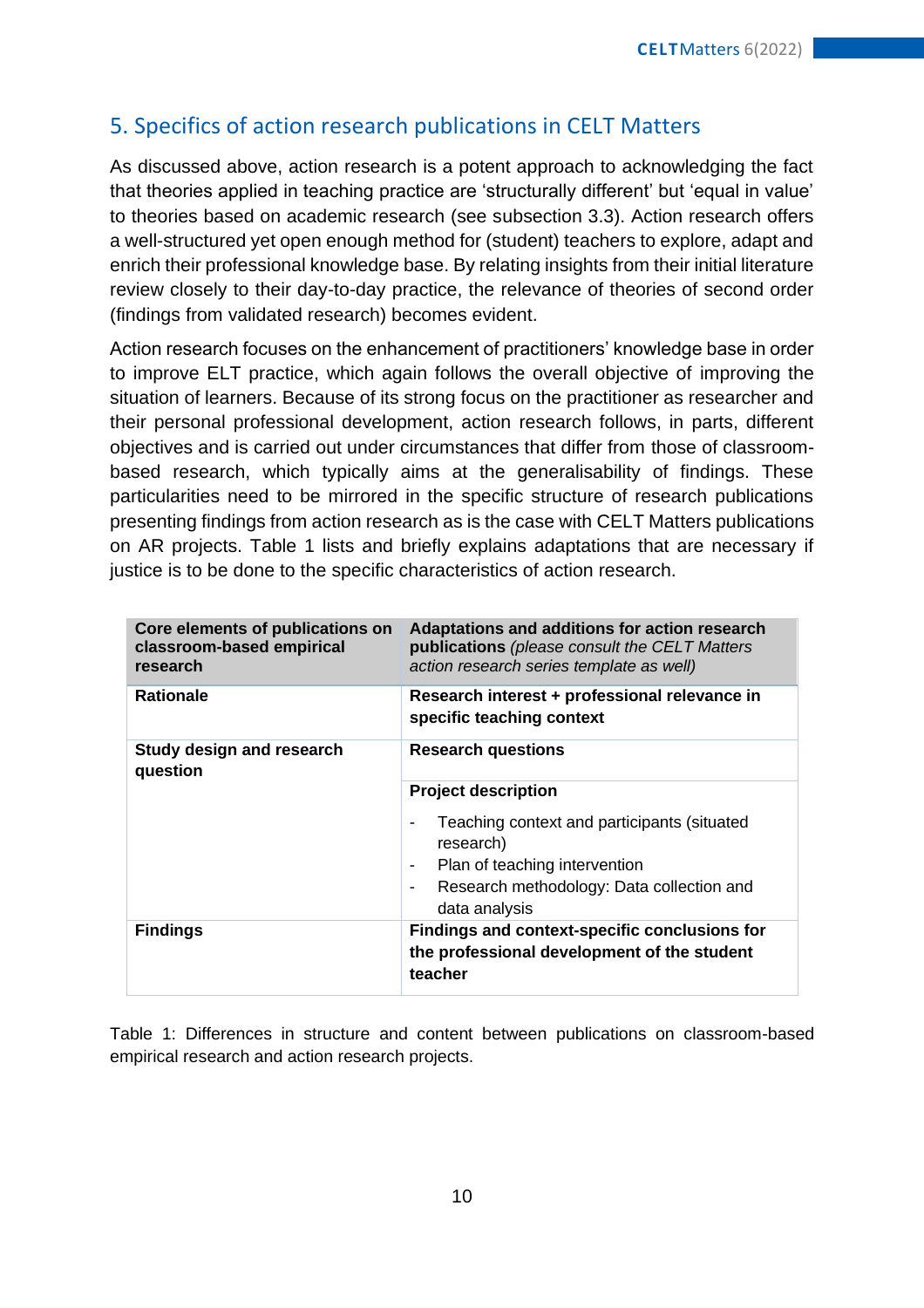## 5. Specifics of action research publications in CELT Matters

As discussed above, action research is a potent approach to acknowledging the fact that theories applied in teaching practice are 'structurally different' but 'equal in value' to theories based on academic research (see subsection 3.3). Action research offers a well-structured yet open enough method for (student) teachers to explore, adapt and enrich their professional knowledge base. By relating insights from their initial literature review closely to their day-to-day practice, the relevance of theories of second order (findings from validated research) becomes evident.

Action research focuses on the enhancement of practitioners' knowledge base in order to improve ELT practice, which again follows the overall objective of improving the situation of learners. Because of its strong focus on the practitioner as researcher and their personal professional development, action research follows, in parts, different objectives and is carried out under circumstances that differ from those of classroombased research, which typically aims at the generalisability of findings. These particularities need to be mirrored in the specific structure of research publications presenting findings from action research as is the case with CELT Matters publications on AR projects. Table 1 lists and briefly explains adaptations that are necessary if justice is to be done to the specific characteristics of action research.

| Core elements of publications on<br>classroom-based empirical<br>research | Adaptations and additions for action research<br>publications (please consult the CELT Matters<br>action research series template as well)                                            |  |
|---------------------------------------------------------------------------|---------------------------------------------------------------------------------------------------------------------------------------------------------------------------------------|--|
| <b>Rationale</b>                                                          | Research interest + professional relevance in<br>specific teaching context                                                                                                            |  |
| <b>Study design and research</b><br>question                              | <b>Research questions</b>                                                                                                                                                             |  |
|                                                                           | <b>Project description</b><br>Teaching context and participants (situated<br>research)<br>Plan of teaching intervention<br>Research methodology: Data collection and<br>data analysis |  |
| <b>Findings</b>                                                           | Findings and context-specific conclusions for<br>the professional development of the student<br>teacher                                                                               |  |

Table 1: Differences in structure and content between publications on classroom-based empirical research and action research projects.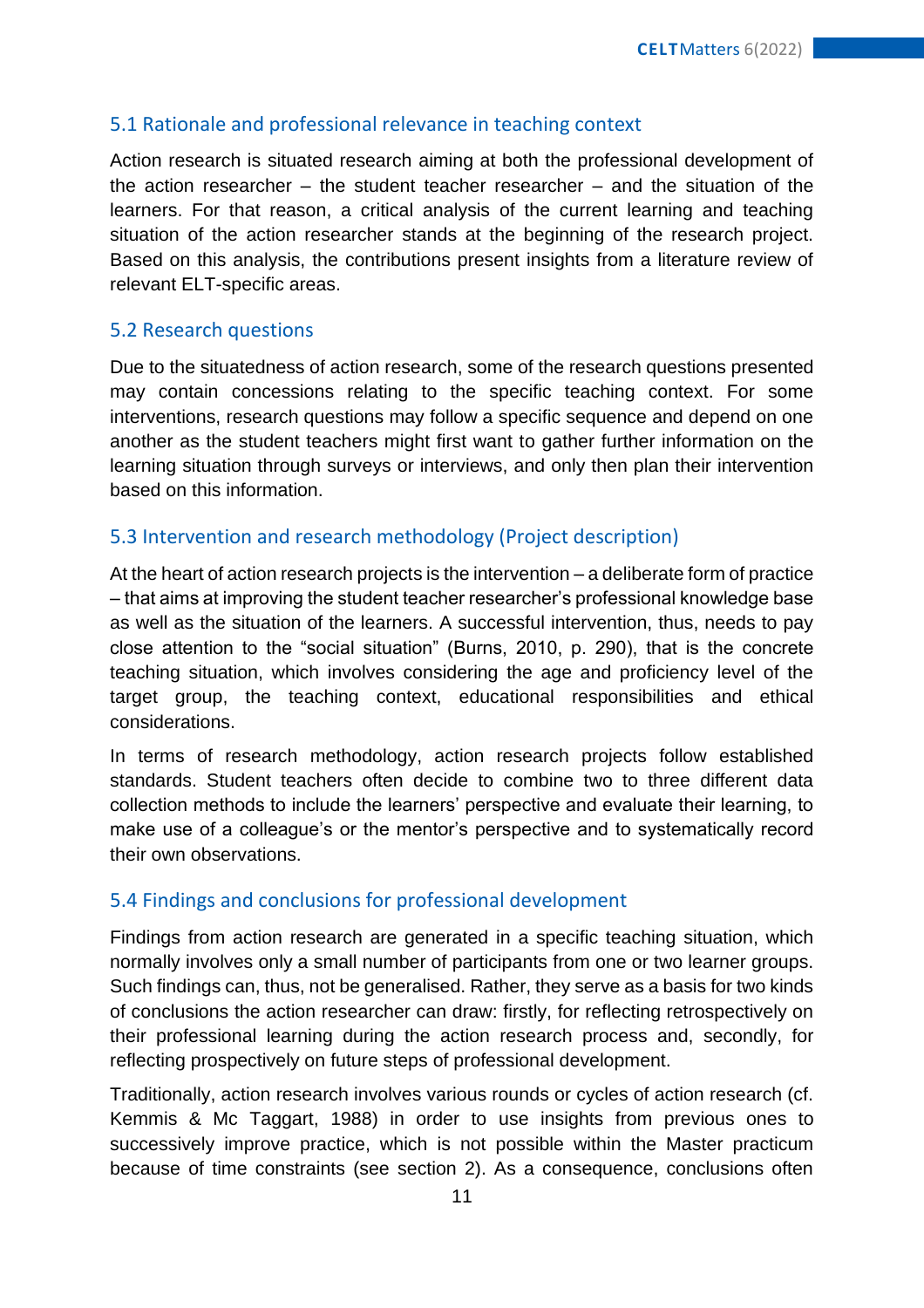#### 5.1 Rationale and professional relevance in teaching context

Action research is situated research aiming at both the professional development of the action researcher – the student teacher researcher – and the situation of the learners. For that reason, a critical analysis of the current learning and teaching situation of the action researcher stands at the beginning of the research project. Based on this analysis, the contributions present insights from a literature review of relevant ELT-specific areas.

#### 5.2 Research questions

Due to the situatedness of action research, some of the research questions presented may contain concessions relating to the specific teaching context. For some interventions, research questions may follow a specific sequence and depend on one another as the student teachers might first want to gather further information on the learning situation through surveys or interviews, and only then plan their intervention based on this information.

#### 5.3 Intervention and research methodology (Project description)

At the heart of action research projects is the intervention – a deliberate form of practice – that aims at improving the student teacher researcher's professional knowledge base as well as the situation of the learners. A successful intervention, thus, needs to pay close attention to the "social situation" (Burns, 2010, p. 290), that is the concrete teaching situation, which involves considering the age and proficiency level of the target group, the teaching context, educational responsibilities and ethical considerations.

In terms of research methodology, action research projects follow established standards. Student teachers often decide to combine two to three different data collection methods to include the learners' perspective and evaluate their learning, to make use of a colleague's or the mentor's perspective and to systematically record their own observations.

#### 5.4 Findings and conclusions for professional development

Findings from action research are generated in a specific teaching situation, which normally involves only a small number of participants from one or two learner groups. Such findings can, thus, not be generalised. Rather, they serve as a basis for two kinds of conclusions the action researcher can draw: firstly, for reflecting retrospectively on their professional learning during the action research process and, secondly, for reflecting prospectively on future steps of professional development.

Traditionally, action research involves various rounds or cycles of action research (cf. Kemmis & Mc Taggart, 1988) in order to use insights from previous ones to successively improve practice, which is not possible within the Master practicum because of time constraints (see section 2). As a consequence, conclusions often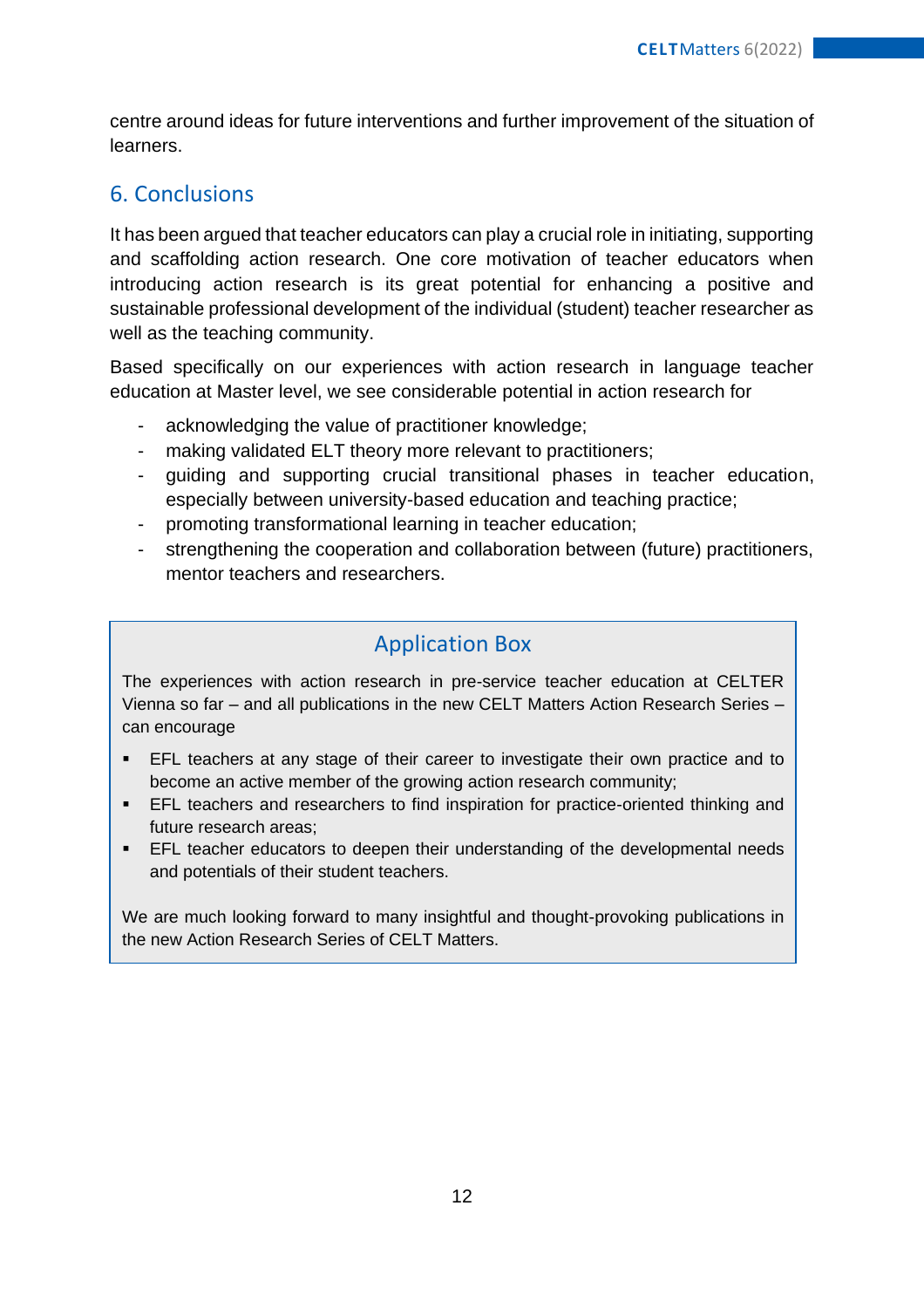centre around ideas for future interventions and further improvement of the situation of learners.

## 6. Conclusions

It has been argued that teacher educators can play a crucial role in initiating, supporting and scaffolding action research. One core motivation of teacher educators when introducing action research is its great potential for enhancing a positive and sustainable professional development of the individual (student) teacher researcher as well as the teaching community.

Based specifically on our experiences with action research in language teacher education at Master level, we see considerable potential in action research for

- acknowledging the value of practitioner knowledge;
- making validated ELT theory more relevant to practitioners;
- guiding and supporting crucial transitional phases in teacher education, especially between university-based education and teaching practice;
- promoting transformational learning in teacher education;
- strengthening the cooperation and collaboration between (future) practitioners, mentor teachers and researchers.

## Application Box

The experiences with action research in pre-service teacher education at CELTER Vienna so far – and all publications in the new CELT Matters Action Research Series – can encourage

- EFL teachers at any stage of their career to investigate their own practice and to become an active member of the growing action research community;
- **EFL teachers and researchers to find inspiration for practice-oriented thinking and** future research areas;
- **EFL teacher educators to deepen their understanding of the developmental needs** and potentials of their student teachers.

We are much looking forward to many insightful and thought-provoking publications in the new Action Research Series of CELT Matters.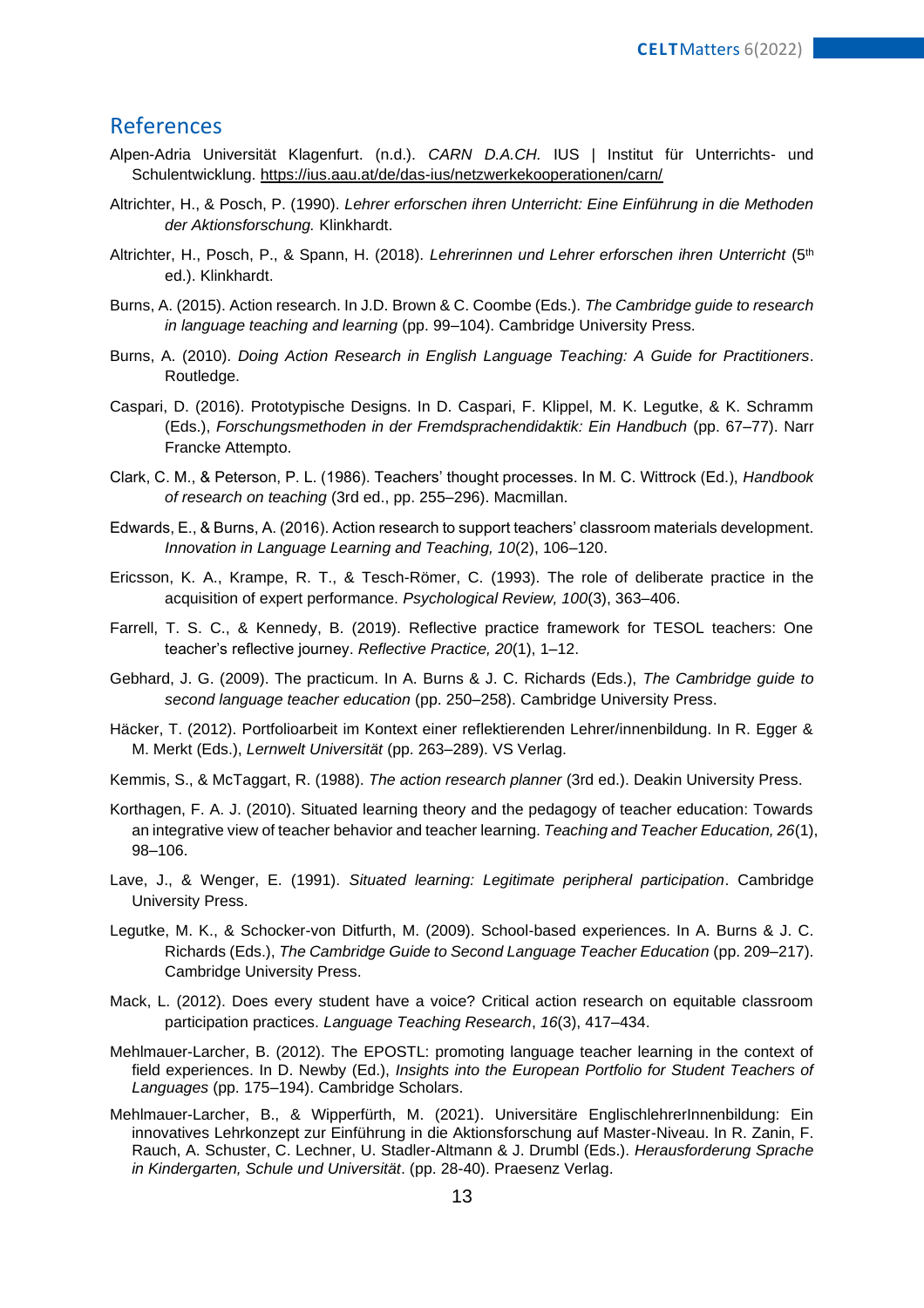#### References

- Alpen-Adria Universität Klagenfurt. (n.d.). *CARN D.A.CH.* IUS | Institut für Unterrichts- und Schulentwicklung.<https://ius.aau.at/de/das-ius/netzwerkekooperationen/carn/>
- Altrichter, H., & Posch, P. (1990). *Lehrer erforschen ihren Unterricht: Eine Einführung in die Methoden der Aktionsforschung.* Klinkhardt.
- Altrichter, H., Posch, P., & Spann, H. (2018). *Lehrerinnen und Lehrer erforschen ihren Unterricht* (5th ed.). Klinkhardt.
- Burns, A. (2015). Action research. In J.D. Brown & C. Coombe (Eds.)*. The Cambridge guide to research in language teaching and learning* (pp. 99–104). Cambridge University Press.
- Burns, A. (2010). *Doing Action Research in English Language Teaching: A Guide for Practitioners*. Routledge.
- Caspari, D. (2016). Prototypische Designs. In D. Caspari, F. Klippel, M. K. Legutke, & K. Schramm (Eds.), *Forschungsmethoden in der Fremdsprachendidaktik: Ein Handbuch* (pp. 67–77). Narr Francke Attempto.
- Clark, C. M., & Peterson, P. L. (1986). Teachers' thought processes. In M. C. Wittrock (Ed.), *Handbook of research on teaching* (3rd ed., pp. 255–296). Macmillan.
- Edwards, E., & Burns, A. (2016). Action research to support teachers' classroom materials development. *Innovation in Language Learning and Teaching, 10*(2), 106–120.
- Ericsson, K. A., Krampe, R. T., & Tesch-Römer, C. (1993). The role of deliberate practice in the acquisition of expert performance. *Psychological Review, 100*(3), 363–406.
- Farrell, T. S. C., & Kennedy, B. (2019). Reflective practice framework for TESOL teachers: One teacher's reflective journey. *Reflective Practice, 20*(1), 1–12.
- Gebhard, J. G. (2009). The practicum. In A. Burns & J. C. Richards (Eds.), *The Cambridge guide to second language teacher education* (pp. 250–258). Cambridge University Press.
- Häcker, T. (2012). Portfolioarbeit im Kontext einer reflektierenden Lehrer/innenbildung. In R. Egger & M. Merkt (Eds.), *Lernwelt Universität* (pp. 263–289). VS Verlag.
- Kemmis, S., & McTaggart, R. (1988). *The action research planner* (3rd ed.). Deakin University Press.
- Korthagen, F. A. J. (2010). Situated learning theory and the pedagogy of teacher education: Towards an integrative view of teacher behavior and teacher learning. *Teaching and Teacher Education, 26*(1), 98–106.
- Lave, J., & Wenger, E. (1991). *Situated learning: Legitimate peripheral participation*. Cambridge University Press.
- Legutke, M. K., & Schocker-von Ditfurth, M. (2009). School-based experiences. In A. Burns & J. C. Richards (Eds.), *The Cambridge Guide to Second Language Teacher Education* (pp. 209–217). Cambridge University Press.
- Mack, L. (2012). Does every student have a voice? Critical action research on equitable classroom participation practices. *Language Teaching Research*, *16*(3), 417–434.
- Mehlmauer-Larcher, B. (2012). The EPOSTL: promoting language teacher learning in the context of field experiences. In D. Newby (Ed.), *Insights into the European Portfolio for Student Teachers of Languages* (pp. 175–194). Cambridge Scholars.
- Mehlmauer-Larcher, B., & Wipperfürth, M. (2021). Universitäre EnglischlehrerInnenbildung: Ein innovatives Lehrkonzept zur Einführung in die Aktionsforschung auf Master-Niveau. In R. Zanin, F. Rauch, A. Schuster, C. Lechner, U. Stadler-Altmann & J. Drumbl (Eds.). *Herausforderung Sprache in Kindergarten, Schule und Universität*. (pp. 28-40). Praesenz Verlag.